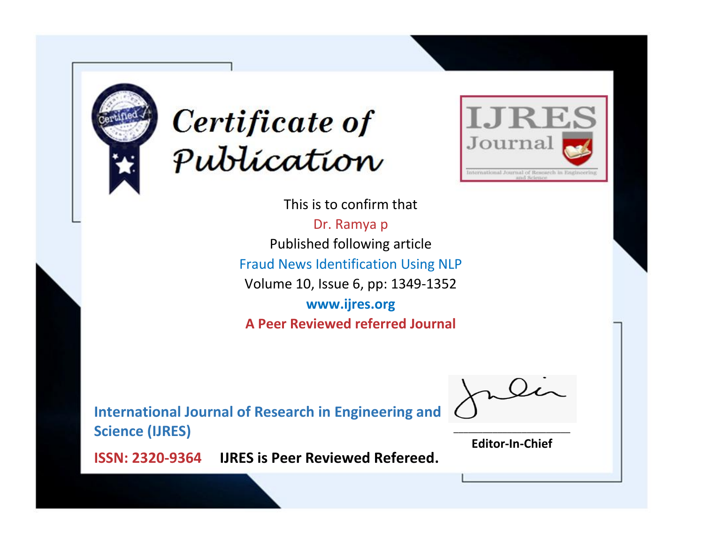



This is to confirm that Dr. Ramya p Published following article Fraud News Identification Using NLP Volume 10, Issue 6, pp: 1349-1352 **www.ijres.org A Peer Reviewed referred Journal**

**International Journal of Research in Engineering and Science (IJRES)**

\_\_\_\_\_\_\_\_\_\_\_\_\_\_\_\_\_\_\_\_\_\_\_\_ **Editor-In-Chief**

**Journal.**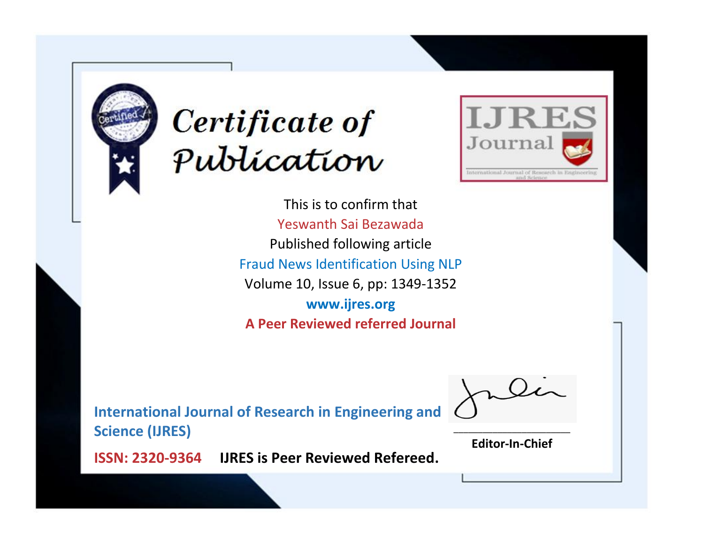



This is to confirm that Yeswanth Sai Bezawada Published following article Fraud News Identification Using NLP Volume 10, Issue 6, pp: 1349-1352 **www.ijres.org A Peer Reviewed referred Journal**

**International Journal of Research in Engineering and Science (IJRES)**

\_\_\_\_\_\_\_\_\_\_\_\_\_\_\_\_\_\_\_\_\_\_\_\_ **Editor-In-Chief**

**Journal.**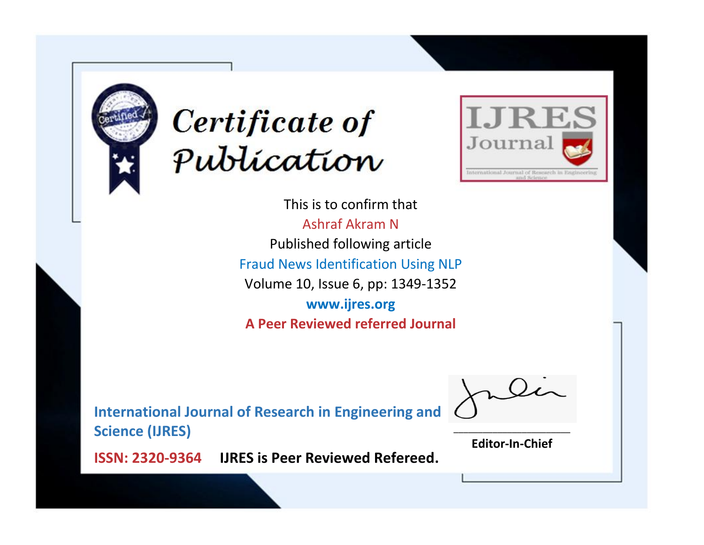



This is to confirm that Ashraf Akram N Published following article Fraud News Identification Using NLP Volume 10, Issue 6, pp: 1349-1352 **www.ijres.org A Peer Reviewed referred Journal**

**International Journal of Research in Engineering and Science (IJRES)**

\_\_\_\_\_\_\_\_\_\_\_\_\_\_\_\_\_\_\_\_\_\_\_\_ **Editor-In-Chief**

**Journal.**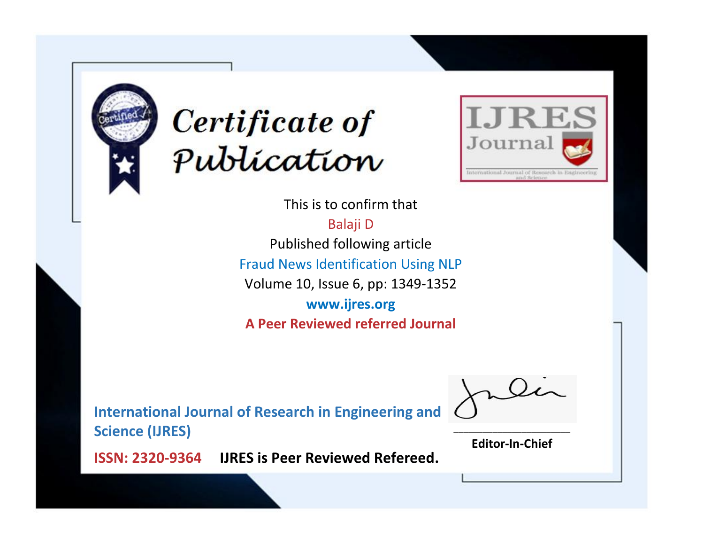



This is to confirm that Balaji D Published following article Fraud News Identification Using NLP Volume 10, Issue 6, pp: 1349-1352 **www.ijres.org A Peer Reviewed referred Journal**

**International Journal of Research in Engineering and Science (IJRES)**

\_\_\_\_\_\_\_\_\_\_\_\_\_\_\_\_\_\_\_\_\_\_\_\_ **Editor-In-Chief**

**Journal.**